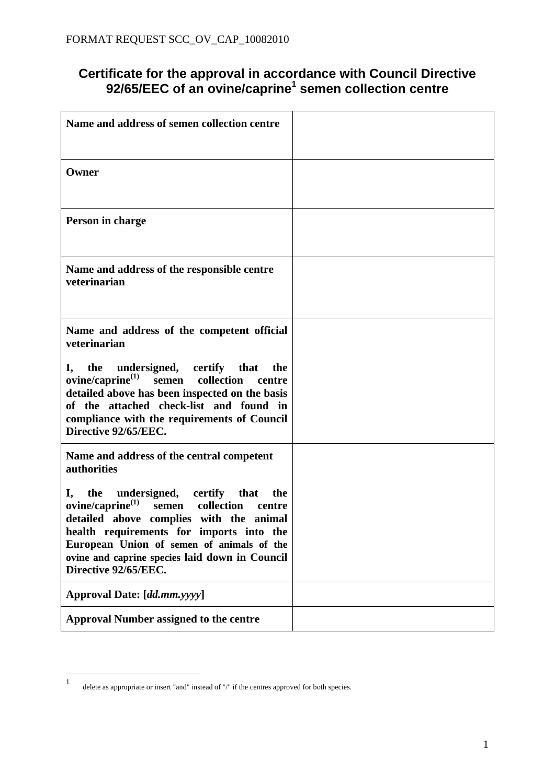## **Certificate for the approval in accordance with Council Directive 92/65/EEC of an ovine/caprine<sup>1</sup> semen collection centre**

| Name and address of semen collection centre                                                                                                                                                                                                                                                            |  |
|--------------------------------------------------------------------------------------------------------------------------------------------------------------------------------------------------------------------------------------------------------------------------------------------------------|--|
| Owner                                                                                                                                                                                                                                                                                                  |  |
| Person in charge                                                                                                                                                                                                                                                                                       |  |
| Name and address of the responsible centre<br>veterinarian                                                                                                                                                                                                                                             |  |
| Name and address of the competent official<br>veterinarian                                                                                                                                                                                                                                             |  |
| undersigned, certify that<br>I,<br>the<br>the<br>$ovine/caprine^{(1)}$<br>collection<br>semen<br>centre<br>detailed above has been inspected on the basis<br>of the attached check-list and found in<br>compliance with the requirements of Council<br>Directive 92/65/EEC.                            |  |
| Name and address of the central competent<br>authorities                                                                                                                                                                                                                                               |  |
| I, the<br>undersigned, certify that the<br>$ovine/caprine(1)$ semen collection<br>centre<br>detailed above complies with the animal<br>health requirements for imports into the<br>European Union of semen of animals of the<br>ovine and caprine species laid down in Council<br>Directive 92/65/EEC. |  |
| Approval Date: [dd.mm.yyyy]                                                                                                                                                                                                                                                                            |  |
| <b>Approval Number assigned to the centre</b>                                                                                                                                                                                                                                                          |  |

 $\frac{1}{1}$ delete as appropriate or insert "and" instead of "/" if the centres approved for both species.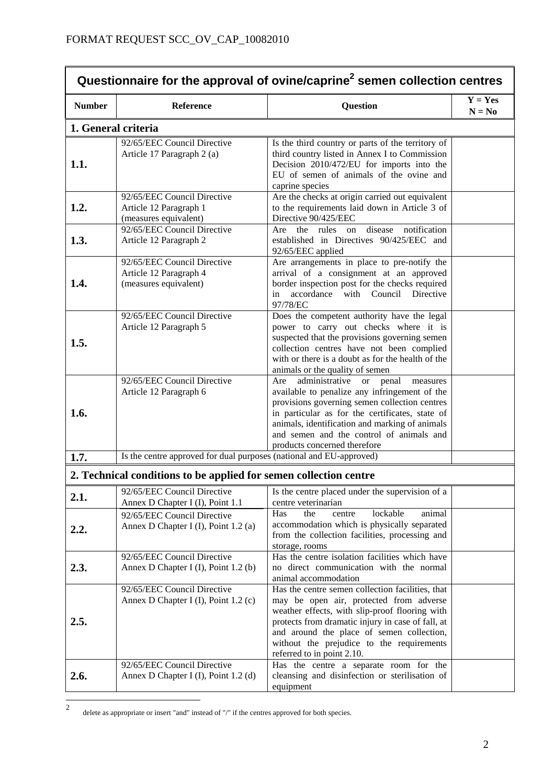| Questionnaire for the approval of ovine/caprine <sup>2</sup> semen collection centres |                                                                                |                                                                                                                                                                                                                                                                                                                                            |                       |
|---------------------------------------------------------------------------------------|--------------------------------------------------------------------------------|--------------------------------------------------------------------------------------------------------------------------------------------------------------------------------------------------------------------------------------------------------------------------------------------------------------------------------------------|-----------------------|
| <b>Number</b>                                                                         | Reference                                                                      | <b>Question</b>                                                                                                                                                                                                                                                                                                                            | $Y = Yes$<br>$N = No$ |
|                                                                                       | 1. General criteria                                                            |                                                                                                                                                                                                                                                                                                                                            |                       |
| 1.1.                                                                                  | 92/65/EEC Council Directive<br>Article 17 Paragraph 2 (a)                      | Is the third country or parts of the territory of<br>third country listed in Annex I to Commission<br>Decision 2010/472/EU for imports into the<br>EU of semen of animals of the ovine and<br>caprine species                                                                                                                              |                       |
| 1.2.                                                                                  | 92/65/EEC Council Directive<br>Article 12 Paragraph 1<br>(measures equivalent) | Are the checks at origin carried out equivalent<br>to the requirements laid down in Article 3 of<br>Directive 90/425/EEC                                                                                                                                                                                                                   |                       |
| 1.3.                                                                                  | 92/65/EEC Council Directive<br>Article 12 Paragraph 2                          | notification<br>disease<br>the rules<br>Are<br>on<br>established in Directives 90/425/EEC and<br>92/65/EEC applied                                                                                                                                                                                                                         |                       |
| 1.4.                                                                                  | 92/65/EEC Council Directive<br>Article 12 Paragraph 4<br>(measures equivalent) | Are arrangements in place to pre-notify the<br>arrival of a consignment at an approved<br>border inspection post for the checks required<br>accordance with Council Directive<br>in<br>97/78/EC                                                                                                                                            |                       |
| 1.5.                                                                                  | 92/65/EEC Council Directive<br>Article 12 Paragraph 5                          | Does the competent authority have the legal<br>power to carry out checks where it is<br>suspected that the provisions governing semen<br>collection centres have not been complied<br>with or there is a doubt as for the health of the<br>animals or the quality of semen                                                                 |                       |
| 1.6.                                                                                  | 92/65/EEC Council Directive<br>Article 12 Paragraph 6                          | administrative<br>Are<br><b>or</b><br>penal<br>measures<br>available to penalize any infringement of the<br>provisions governing semen collection centres<br>in particular as for the certificates, state of<br>animals, identification and marking of animals<br>and semen and the control of animals and<br>products concerned therefore |                       |
| 1.7.                                                                                  | Is the centre approved for dual purposes (national and EU-approved)            |                                                                                                                                                                                                                                                                                                                                            |                       |
| 2. Technical conditions to be applied for semen collection centre                     |                                                                                |                                                                                                                                                                                                                                                                                                                                            |                       |
| 2.1.                                                                                  | 92/65/EEC Council Directive<br>Annex D Chapter I (I), Point 1.1                | Is the centre placed under the supervision of a<br>centre veterinarian                                                                                                                                                                                                                                                                     |                       |
| 2.2.                                                                                  | 92/65/EEC Council Directive<br>Annex D Chapter I (I), Point 1.2 (a)            | lockable<br>animal<br>Has<br>the<br>centre<br>accommodation which is physically separated<br>from the collection facilities, processing and<br>storage, rooms                                                                                                                                                                              |                       |
| 2.3.                                                                                  | 92/65/EEC Council Directive<br>Annex D Chapter I (I), Point 1.2 (b)            | Has the centre isolation facilities which have<br>no direct communication with the normal<br>animal accommodation                                                                                                                                                                                                                          |                       |
| 2.5.                                                                                  | 92/65/EEC Council Directive<br>Annex D Chapter I (I), Point 1.2 (c)            | Has the centre semen collection facilities, that<br>may be open air, protected from adverse<br>weather effects, with slip-proof flooring with<br>protects from dramatic injury in case of fall, at<br>and around the place of semen collection,<br>without the prejudice to the requirements<br>referred to in point 2.10.                 |                       |
| 2.6.                                                                                  | 92/65/EEC Council Directive<br>Annex D Chapter I (I), Point 1.2 (d)            | Has the centre a separate room for the<br>cleansing and disinfection or sterilisation of<br>equipment                                                                                                                                                                                                                                      |                       |

 $\frac{1}{2}$ delete as appropriate or insert "and" instead of "/" if the centres approved for both species.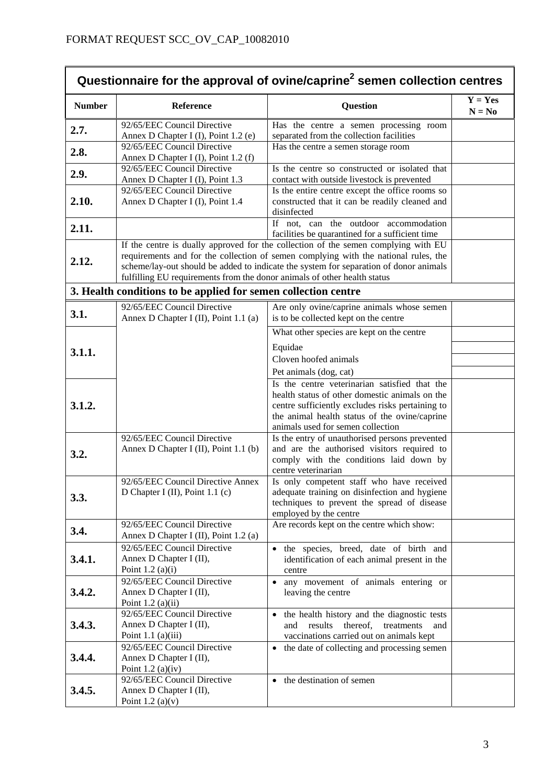| Questionnaire for the approval of ovine/caprine <sup>2</sup> semen collection centres |                                                                                                                                                                                                                                                                                                                                                |                                                                                                                                                                                          |                       |
|---------------------------------------------------------------------------------------|------------------------------------------------------------------------------------------------------------------------------------------------------------------------------------------------------------------------------------------------------------------------------------------------------------------------------------------------|------------------------------------------------------------------------------------------------------------------------------------------------------------------------------------------|-----------------------|
| <b>Number</b>                                                                         | Reference                                                                                                                                                                                                                                                                                                                                      | <b>Question</b>                                                                                                                                                                          | $Y = Yes$<br>$N = No$ |
| 2.7.                                                                                  | 92/65/EEC Council Directive<br>Annex D Chapter I (I), Point 1.2 (e)                                                                                                                                                                                                                                                                            | Has the centre a semen processing room<br>separated from the collection facilities                                                                                                       |                       |
| 2.8.                                                                                  | 92/65/EEC Council Directive<br>Annex D Chapter I (I), Point 1.2 (f)                                                                                                                                                                                                                                                                            | Has the centre a semen storage room                                                                                                                                                      |                       |
| 2.9.                                                                                  | 92/65/EEC Council Directive<br>Annex D Chapter I (I), Point 1.3                                                                                                                                                                                                                                                                                | Is the centre so constructed or isolated that<br>contact with outside livestock is prevented                                                                                             |                       |
| 2.10.                                                                                 | 92/65/EEC Council Directive<br>Annex D Chapter I (I), Point 1.4                                                                                                                                                                                                                                                                                | Is the entire centre except the office rooms so<br>constructed that it can be readily cleaned and<br>disinfected                                                                         |                       |
| 2.11.                                                                                 |                                                                                                                                                                                                                                                                                                                                                | If not, can the outdoor accommodation<br>facilities be quarantined for a sufficient time                                                                                                 |                       |
| 2.12.                                                                                 | If the centre is dually approved for the collection of the semen complying with EU<br>requirements and for the collection of semen complying with the national rules, the<br>scheme/lay-out should be added to indicate the system for separation of donor animals<br>fulfilling EU requirements from the donor animals of other health status |                                                                                                                                                                                          |                       |
|                                                                                       | 3. Health conditions to be applied for semen collection centre                                                                                                                                                                                                                                                                                 |                                                                                                                                                                                          |                       |
| 3.1.                                                                                  | 92/65/EEC Council Directive<br>Annex D Chapter I (II), Point 1.1 (a)                                                                                                                                                                                                                                                                           | Are only ovine/caprine animals whose semen<br>is to be collected kept on the centre                                                                                                      |                       |
|                                                                                       |                                                                                                                                                                                                                                                                                                                                                | What other species are kept on the centre                                                                                                                                                |                       |
| 3.1.1.                                                                                |                                                                                                                                                                                                                                                                                                                                                | Equidae                                                                                                                                                                                  |                       |
|                                                                                       |                                                                                                                                                                                                                                                                                                                                                | Cloven hoofed animals<br>Pet animals (dog, cat)                                                                                                                                          |                       |
|                                                                                       |                                                                                                                                                                                                                                                                                                                                                | Is the centre veterinarian satisfied that the                                                                                                                                            |                       |
| 3.1.2.                                                                                |                                                                                                                                                                                                                                                                                                                                                | health status of other domestic animals on the<br>centre sufficiently excludes risks pertaining to<br>the animal health status of the ovine/caprine<br>animals used for semen collection |                       |
| 3.2.                                                                                  | 92/65/EEC Council Directive<br>Annex D Chapter I (II), Point 1.1 (b)                                                                                                                                                                                                                                                                           | Is the entry of unauthorised persons prevented<br>and are the authorised visitors required to<br>comply with the conditions laid down by<br>centre veterinarian                          |                       |
| 3.3.                                                                                  | 92/65/EEC Council Directive Annex<br>D Chapter I (II), Point 1.1 (c)                                                                                                                                                                                                                                                                           | Is only competent staff who have received<br>adequate training on disinfection and hygiene<br>techniques to prevent the spread of disease<br>employed by the centre                      |                       |
| 3.4.                                                                                  | 92/65/EEC Council Directive<br>Annex D Chapter I (II), Point 1.2 (a)                                                                                                                                                                                                                                                                           | Are records kept on the centre which show:                                                                                                                                               |                       |
| 3.4.1.                                                                                | 92/65/EEC Council Directive<br>Annex D Chapter I (II),<br>Point $1.2$ (a)(i)                                                                                                                                                                                                                                                                   | · the species, breed, date of birth and<br>identification of each animal present in the<br>centre                                                                                        |                       |
| 3.4.2.                                                                                | 92/65/EEC Council Directive<br>Annex D Chapter I (II),<br>Point $1.2$ (a)(ii)                                                                                                                                                                                                                                                                  | • any movement of animals entering or<br>leaving the centre                                                                                                                              |                       |
| 3.4.3.                                                                                | 92/65/EEC Council Directive<br>Annex D Chapter I (II),<br>Point $1.1$ (a)(iii)                                                                                                                                                                                                                                                                 | the health history and the diagnostic tests<br>$\bullet$<br>results<br>thereof,<br>treatments<br>and<br>and<br>vaccinations carried out on animals kept                                  |                       |
| 3.4.4.                                                                                | 92/65/EEC Council Directive<br>Annex D Chapter I (II),<br>Point $1.2$ (a)(iv)                                                                                                                                                                                                                                                                  | the date of collecting and processing semen<br>$\bullet$                                                                                                                                 |                       |
| 3.4.5.                                                                                | 92/65/EEC Council Directive<br>Annex D Chapter I (II),<br>Point $1.2$ (a)(v)                                                                                                                                                                                                                                                                   | the destination of semen<br>$\bullet$                                                                                                                                                    |                       |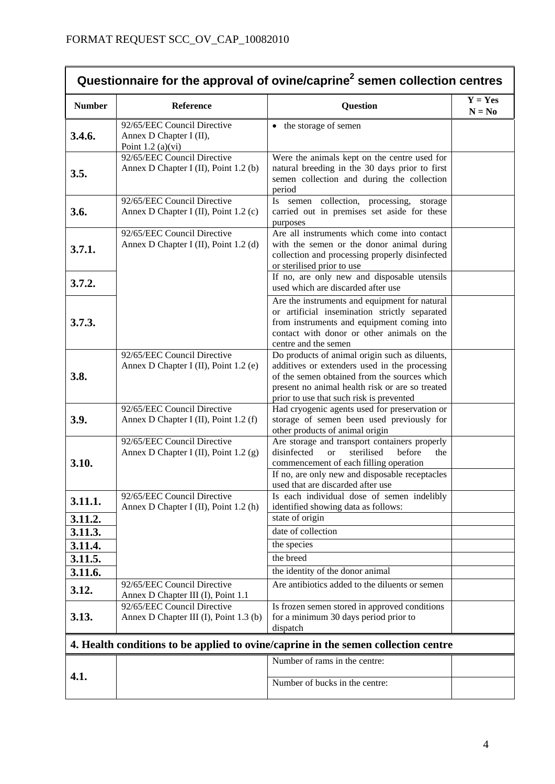$\mathbf{r}$ 

| Questionnaire for the approval of ovine/caprine <sup>2</sup> semen collection centres |                                                                               |                                                                                                                                                                                                                                                |                       |
|---------------------------------------------------------------------------------------|-------------------------------------------------------------------------------|------------------------------------------------------------------------------------------------------------------------------------------------------------------------------------------------------------------------------------------------|-----------------------|
| <b>Number</b>                                                                         | Reference                                                                     | <b>Question</b>                                                                                                                                                                                                                                | $Y = Yes$<br>$N = No$ |
| 3.4.6.                                                                                | 92/65/EEC Council Directive<br>Annex D Chapter I (II),<br>Point $1.2$ (a)(vi) | • the storage of semen                                                                                                                                                                                                                         |                       |
| 3.5.                                                                                  | 92/65/EEC Council Directive<br>Annex D Chapter I (II), Point 1.2 (b)          | Were the animals kept on the centre used for<br>natural breeding in the 30 days prior to first<br>semen collection and during the collection<br>period                                                                                         |                       |
| 3.6.                                                                                  | 92/65/EEC Council Directive<br>Annex D Chapter I (II), Point 1.2 (c)          | Is semen collection, processing, storage<br>carried out in premises set aside for these<br>purposes                                                                                                                                            |                       |
| 3.7.1.                                                                                | 92/65/EEC Council Directive<br>Annex D Chapter I (II), Point 1.2 (d)          | Are all instruments which come into contact<br>with the semen or the donor animal during<br>collection and processing properly disinfected<br>or sterilised prior to use                                                                       |                       |
| 3.7.2.                                                                                |                                                                               | If no, are only new and disposable utensils<br>used which are discarded after use                                                                                                                                                              |                       |
| 3.7.3.                                                                                |                                                                               | Are the instruments and equipment for natural<br>or artificial insemination strictly separated<br>from instruments and equipment coming into<br>contact with donor or other animals on the<br>centre and the semen                             |                       |
| 3.8.                                                                                  | 92/65/EEC Council Directive<br>Annex D Chapter I (II), Point 1.2 (e)          | Do products of animal origin such as diluents,<br>additives or extenders used in the processing<br>of the semen obtained from the sources which<br>present no animal health risk or are so treated<br>prior to use that such risk is prevented |                       |
| 3.9.                                                                                  | 92/65/EEC Council Directive<br>Annex D Chapter I (II), Point 1.2 (f)          | Had cryogenic agents used for preservation or<br>storage of semen been used previously for<br>other products of animal origin                                                                                                                  |                       |
| 3.10.                                                                                 | 92/65/EEC Council Directive<br>Annex D Chapter I (II), Point 1.2 (g)          | Are storage and transport containers properly<br>disinfected<br>sterilised<br>before<br>the<br>$\alpha$<br>commencement of each filling operation<br>If no, are only new and disposable receptacles<br>used that are discarded after use       |                       |
| 3.11.1.                                                                               | 92/65/EEC Council Directive<br>Annex D Chapter I (II), Point 1.2 (h)          | Is each individual dose of semen indelibly<br>identified showing data as follows:                                                                                                                                                              |                       |
| 3.11.2.                                                                               |                                                                               | state of origin                                                                                                                                                                                                                                |                       |
| 3.11.3.<br>3.11.4.                                                                    |                                                                               | date of collection<br>the species                                                                                                                                                                                                              |                       |
| 3.11.5.                                                                               |                                                                               | the breed                                                                                                                                                                                                                                      |                       |
| 3.11.6.                                                                               |                                                                               | the identity of the donor animal                                                                                                                                                                                                               |                       |
| 3.12.                                                                                 | 92/65/EEC Council Directive                                                   | Are antibiotics added to the diluents or semen                                                                                                                                                                                                 |                       |
|                                                                                       | Annex D Chapter III (I), Point 1.1<br>92/65/EEC Council Directive             | Is frozen semen stored in approved conditions                                                                                                                                                                                                  |                       |
| 3.13.                                                                                 | Annex D Chapter III (I), Point 1.3 (b)                                        | for a minimum 30 days period prior to<br>dispatch                                                                                                                                                                                              |                       |
|                                                                                       |                                                                               | 4. Health conditions to be applied to ovine/caprine in the semen collection centre                                                                                                                                                             |                       |
|                                                                                       |                                                                               | Number of rams in the centre:                                                                                                                                                                                                                  |                       |
| 4.1.                                                                                  |                                                                               | Number of bucks in the centre:                                                                                                                                                                                                                 |                       |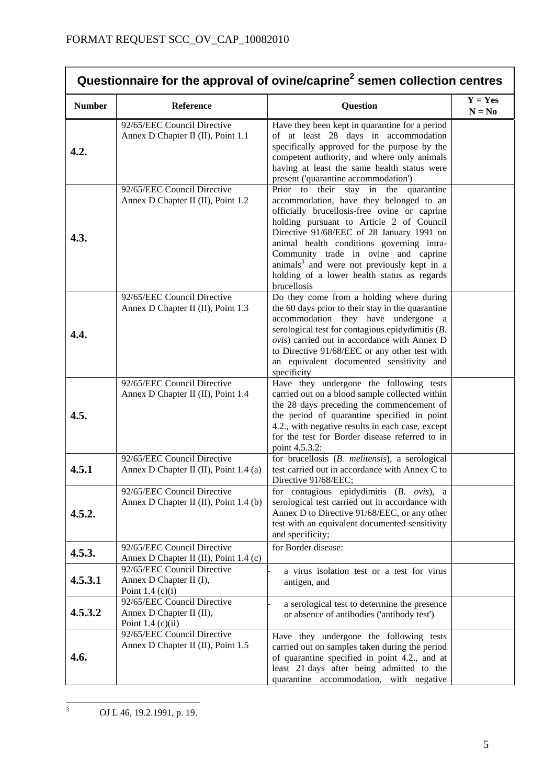| Questionnaire for the approval of ovine/caprine <sup>2</sup> semen collection centres |                                                                                |                                                                                                                                                                                                                                                                                                                                                                                                                                        |                       |
|---------------------------------------------------------------------------------------|--------------------------------------------------------------------------------|----------------------------------------------------------------------------------------------------------------------------------------------------------------------------------------------------------------------------------------------------------------------------------------------------------------------------------------------------------------------------------------------------------------------------------------|-----------------------|
| <b>Number</b>                                                                         | Reference                                                                      | Question                                                                                                                                                                                                                                                                                                                                                                                                                               | $Y = Yes$<br>$N = No$ |
| 4.2.                                                                                  | 92/65/EEC Council Directive<br>Annex D Chapter II (II), Point 1.1              | Have they been kept in quarantine for a period<br>of at least 28 days in accommodation<br>specifically approved for the purpose by the<br>competent authority, and where only animals<br>having at least the same health status were<br>present ('quarantine accommodation')                                                                                                                                                           |                       |
| 4.3.                                                                                  | 92/65/EEC Council Directive<br>Annex D Chapter II (II), Point 1.2              | Prior to their stay in the quarantine<br>accommodation, have they belonged to an<br>officially brucellosis-free ovine or caprine<br>holding pursuant to Article 2 of Council<br>Directive 91/68/EEC of 28 January 1991 on<br>animal health conditions governing intra-<br>Community trade in ovine and caprine<br>animals <sup>3</sup> and were not previously kept in a<br>holding of a lower health status as regards<br>brucellosis |                       |
| 4.4.                                                                                  | 92/65/EEC Council Directive<br>Annex D Chapter II (II), Point 1.3              | Do they come from a holding where during<br>the 60 days prior to their stay in the quarantine<br>accommodation they have undergone a<br>serological test for contagious epidydimitis (B.<br>ovis) carried out in accordance with Annex D<br>to Directive 91/68/EEC or any other test with<br>an equivalent documented sensitivity and<br>specificity                                                                                   |                       |
| 4.5.                                                                                  | 92/65/EEC Council Directive<br>Annex D Chapter II (II), Point 1.4              | Have they undergone the following tests<br>carried out on a blood sample collected within<br>the 28 days preceding the commencement of<br>the period of quarantine specified in point<br>4.2., with negative results in each case, except<br>for the test for Border disease referred to in<br>point 4.5.3.2:                                                                                                                          |                       |
| 4.5.1                                                                                 | 92/65/EEC Council Directive<br>Annex D Chapter II (II), Point 1.4 (a)          | for brucellosis (B. melitensis), a serological<br>test carried out in accordance with Annex C to<br>Directive 91/68/EEC;                                                                                                                                                                                                                                                                                                               |                       |
| 4.5.2.                                                                                | 92/65/EEC Council Directive<br>Annex D Chapter II (II), Point 1.4 (b)          | for contagious epidydimitis $(B. \text{ ovis})$ , a<br>serological test carried out in accordance with<br>Annex D to Directive 91/68/EEC, or any other<br>test with an equivalent documented sensitivity<br>and specificity;                                                                                                                                                                                                           |                       |
| 4.5.3.                                                                                | 92/65/EEC Council Directive<br>Annex D Chapter II (II), Point 1.4 (c)          | for Border disease:                                                                                                                                                                                                                                                                                                                                                                                                                    |                       |
| 4.5.3.1                                                                               | 92/65/EEC Council Directive<br>Annex D Chapter II (I),<br>Point 1.4 $(c)(i)$   | a virus isolation test or a test for virus<br>antigen, and                                                                                                                                                                                                                                                                                                                                                                             |                       |
| 4.5.3.2                                                                               | 92/65/EEC Council Directive<br>Annex D Chapter II (II),<br>Point $1.4$ (c)(ii) | a serological test to determine the presence<br>or absence of antibodies ('antibody test')                                                                                                                                                                                                                                                                                                                                             |                       |
| 4.6.                                                                                  | 92/65/EEC Council Directive<br>Annex D Chapter II (II), Point 1.5              | Have they undergone the following tests<br>carried out on samples taken during the period<br>of quarantine specified in point 4.2., and at<br>least 21 days after being admitted to the<br>quarantine accommodation, with negative                                                                                                                                                                                                     |                       |

 $\frac{1}{3}$ OJ L 46, 19.2.1991, p. 19.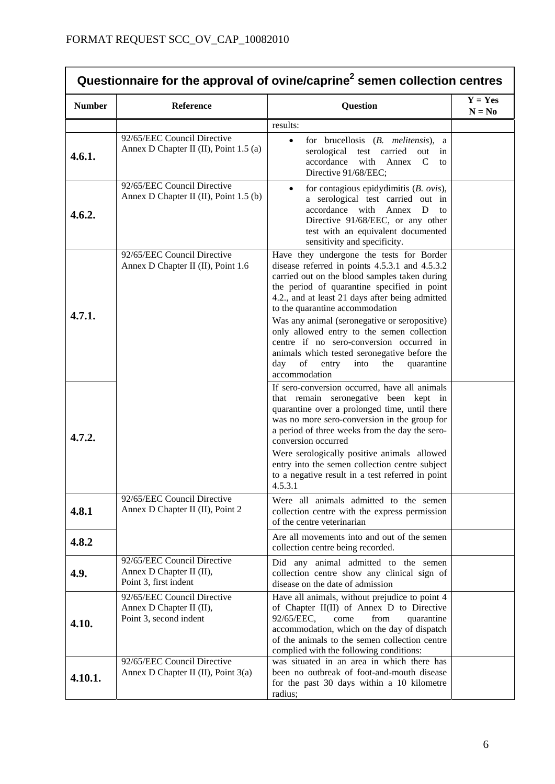| Questionnaire for the approval of ovine/caprine <sup>2</sup> semen collection centres |                                                                                   |                                                                                                                                                                                                                                                                                                                                                                                                                                                                                                                                                 |                       |
|---------------------------------------------------------------------------------------|-----------------------------------------------------------------------------------|-------------------------------------------------------------------------------------------------------------------------------------------------------------------------------------------------------------------------------------------------------------------------------------------------------------------------------------------------------------------------------------------------------------------------------------------------------------------------------------------------------------------------------------------------|-----------------------|
| <b>Number</b>                                                                         | Reference                                                                         | <b>Question</b>                                                                                                                                                                                                                                                                                                                                                                                                                                                                                                                                 | $Y = Yes$<br>$N = No$ |
|                                                                                       |                                                                                   | results:                                                                                                                                                                                                                                                                                                                                                                                                                                                                                                                                        |                       |
| 4.6.1.                                                                                | 92/65/EEC Council Directive<br>Annex D Chapter II (II), Point 1.5 (a)             | for brucellosis $(B.$ melitensis),<br>$\bullet$<br>a<br>serological test carried<br>out<br>in<br>accordance<br>with<br>Annex<br>C<br>to<br>Directive 91/68/EEC;                                                                                                                                                                                                                                                                                                                                                                                 |                       |
| 4.6.2.                                                                                | 92/65/EEC Council Directive<br>Annex D Chapter II (II), Point 1.5 (b)             | for contagious epidydimitis $(B. \text{ ovis})$ ,<br>$\bullet$<br>a serological test carried out in<br>accordance with Annex<br>D<br>to<br>Directive 91/68/EEC, or any other<br>test with an equivalent documented<br>sensitivity and specificity.                                                                                                                                                                                                                                                                                              |                       |
| 4.7.1.                                                                                | 92/65/EEC Council Directive<br>Annex D Chapter II (II), Point 1.6                 | Have they undergone the tests for Border<br>disease referred in points 4.5.3.1 and 4.5.3.2<br>carried out on the blood samples taken during<br>the period of quarantine specified in point<br>4.2., and at least 21 days after being admitted<br>to the quarantine accommodation<br>Was any animal (seronegative or seropositive)<br>only allowed entry to the semen collection<br>centre if no sero-conversion occurred in<br>animals which tested seronegative before the<br>of<br>day<br>entry<br>into<br>quarantine<br>the<br>accommodation |                       |
| 4.7.2.                                                                                |                                                                                   | If sero-conversion occurred, have all animals<br>that remain seronegative been kept in<br>quarantine over a prolonged time, until there<br>was no more sero-conversion in the group for<br>a period of three weeks from the day the sero-<br>conversion occurred<br>Were serologically positive animals allowed<br>entry into the semen collection centre subject<br>to a negative result in a test referred in point<br>4.5.3.1                                                                                                                |                       |
| 4.8.1                                                                                 | 92/65/EEC Council Directive<br>Annex D Chapter II (II), Point 2                   | Were all animals admitted to the semen<br>collection centre with the express permission<br>of the centre veterinarian                                                                                                                                                                                                                                                                                                                                                                                                                           |                       |
| 4.8.2                                                                                 |                                                                                   | Are all movements into and out of the semen<br>collection centre being recorded.                                                                                                                                                                                                                                                                                                                                                                                                                                                                |                       |
| 4.9.                                                                                  | 92/65/EEC Council Directive<br>Annex D Chapter II (II),<br>Point 3, first indent  | Did any animal admitted to the semen<br>collection centre show any clinical sign of<br>disease on the date of admission                                                                                                                                                                                                                                                                                                                                                                                                                         |                       |
| 4.10.                                                                                 | 92/65/EEC Council Directive<br>Annex D Chapter II (II),<br>Point 3, second indent | Have all animals, without prejudice to point 4<br>of Chapter II(II) of Annex D to Directive<br>quarantine<br>92/65/EEC,<br>come<br>from<br>accommodation, which on the day of dispatch<br>of the animals to the semen collection centre<br>complied with the following conditions:                                                                                                                                                                                                                                                              |                       |
| 4.10.1.                                                                               | 92/65/EEC Council Directive<br>Annex D Chapter II (II), Point 3(a)                | was situated in an area in which there has<br>been no outbreak of foot-and-mouth disease<br>for the past 30 days within a 10 kilometre<br>radius;                                                                                                                                                                                                                                                                                                                                                                                               |                       |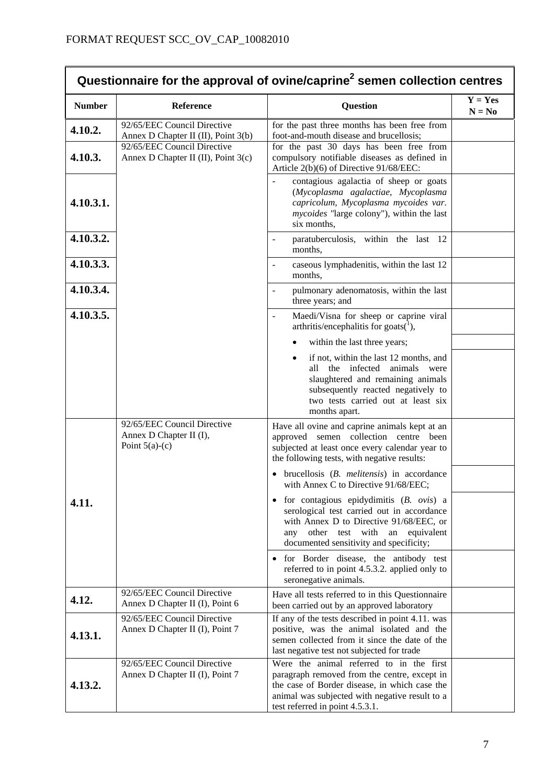| Questionnaire for the approval of ovine/caprine <sup>2</sup> semen collection centres |                                                                            |                                                                                                                                                                                                                                  |                       |
|---------------------------------------------------------------------------------------|----------------------------------------------------------------------------|----------------------------------------------------------------------------------------------------------------------------------------------------------------------------------------------------------------------------------|-----------------------|
| <b>Number</b>                                                                         | Reference                                                                  | <b>Question</b>                                                                                                                                                                                                                  | $Y = Yes$<br>$N = No$ |
| 4.10.2.                                                                               | 92/65/EEC Council Directive<br>Annex D Chapter II (II), Point 3(b)         | for the past three months has been free from<br>foot-and-mouth disease and brucellosis;                                                                                                                                          |                       |
| 4.10.3.                                                                               | 92/65/EEC Council Directive<br>Annex D Chapter II (II), Point 3(c)         | for the past 30 days has been free from<br>compulsory notifiable diseases as defined in<br>Article 2(b)(6) of Directive 91/68/EEC:                                                                                               |                       |
| 4.10.3.1.                                                                             |                                                                            | contagious agalactia of sheep or goats<br>(Mycoplasma agalactiae, Mycoplasma<br>capricolum, Mycoplasma mycoides var.<br><i>mycoides</i> "large colony"), within the last<br>six months,                                          |                       |
| 4.10.3.2.                                                                             |                                                                            | paratuberculosis, within the last 12<br>months,                                                                                                                                                                                  |                       |
| 4.10.3.3.                                                                             |                                                                            | caseous lymphadenitis, within the last 12<br>months,                                                                                                                                                                             |                       |
| 4.10.3.4.                                                                             |                                                                            | pulmonary adenomatosis, within the last<br>$\overline{a}$<br>three years; and                                                                                                                                                    |                       |
| 4.10.3.5.                                                                             |                                                                            | Maedi/Visna for sheep or caprine viral<br>arthritis/encephalitis for goats( $\frac{1}{1}$ ),                                                                                                                                     |                       |
|                                                                                       |                                                                            | within the last three years;                                                                                                                                                                                                     |                       |
|                                                                                       |                                                                            | if not, within the last 12 months, and<br>$\bullet$<br>all the infected animals were<br>slaughtered and remaining animals<br>subsequently reacted negatively to<br>two tests carried out at least six<br>months apart.           |                       |
|                                                                                       | 92/65/EEC Council Directive<br>Annex D Chapter II (I),<br>Point $5(a)-(c)$ | Have all ovine and caprine animals kept at an<br>approved semen collection centre been<br>subjected at least once every calendar year to<br>the following tests, with negative results:                                          |                       |
|                                                                                       |                                                                            | $\bullet$ brucellosis ( $B$ . <i>melitensis</i> ) in accordance<br>with Annex C to Directive 91/68/EEC;                                                                                                                          |                       |
| 4.11.                                                                                 |                                                                            | $\bullet$ for contagious epidydimitis (B. ovis) a<br>serological test carried out in accordance<br>with Annex D to Directive 91/68/EEC, or<br>other test with an<br>equivalent<br>any<br>documented sensitivity and specificity; |                       |
|                                                                                       |                                                                            | • for Border disease, the antibody test<br>referred to in point 4.5.3.2. applied only to<br>seronegative animals.                                                                                                                |                       |
| 4.12.                                                                                 | 92/65/EEC Council Directive<br>Annex D Chapter II (I), Point 6             | Have all tests referred to in this Questionnaire<br>been carried out by an approved laboratory                                                                                                                                   |                       |
| 4.13.1.                                                                               | 92/65/EEC Council Directive<br>Annex D Chapter II (I), Point 7             | If any of the tests described in point 4.11. was<br>positive, was the animal isolated and the<br>semen collected from it since the date of the<br>last negative test not subjected for trade                                     |                       |
| 4.13.2.                                                                               | 92/65/EEC Council Directive<br>Annex D Chapter II (I), Point 7             | Were the animal referred to in the first<br>paragraph removed from the centre, except in<br>the case of Border disease, in which case the<br>animal was subjected with negative result to a<br>test referred in point 4.5.3.1.   |                       |